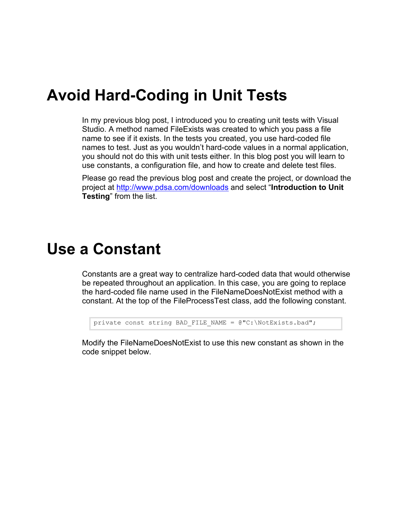#### **Avoid Hard-Coding in Unit Tests**

In my previous blog post, I introduced you to creating unit tests with Visual Studio. A method named FileExists was created to which you pass a file name to see if it exists. In the tests you created, you use hard-coded file names to test. Just as you wouldn't hard-code values in a normal application, you should not do this with unit tests either. In this blog post you will learn to use constants, a configuration file, and how to create and delete test files.

Please go read the previous blog post and create the project, or download the project at<http://www.pdsa.com/downloads> and select "**Introduction to Unit Testing**" from the list.

#### **Use a Constant**

Constants are a great way to centralize hard-coded data that would otherwise be repeated throughout an application. In this case, you are going to replace the hard-coded file name used in the FileNameDoesNotExist method with a constant. At the top of the FileProcessTest class, add the following constant.

```
private const string BAD FILE NAME = @"C:\NotExists.bad";
```
Modify the FileNameDoesNotExist to use this new constant as shown in the code snippet below.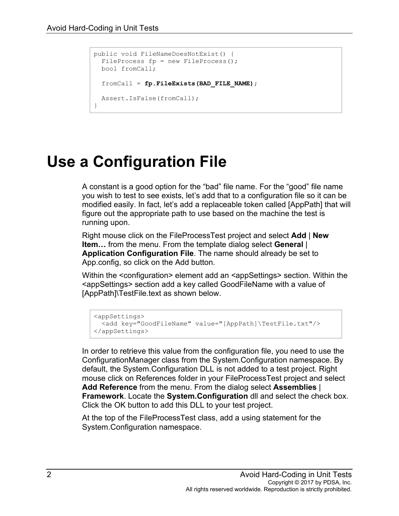```
public void FileNameDoesNotExist() {
 FileProcess fp = new FileProcess();
  bool fromCall;
  fromCall = fp.FileExists(BAD_FILE_NAME);
  Assert.IsFalse(fromCall);
}
```
## **Use a Configuration File**

A constant is a good option for the "bad" file name. For the "good" file name you wish to test to see exists, let's add that to a configuration file so it can be modified easily. In fact, let's add a replaceable token called [AppPath] that will figure out the appropriate path to use based on the machine the test is running upon.

Right mouse click on the FileProcessTest project and select **Add** | **New Item…** from the menu. From the template dialog select **General** | **Application Configuration File**. The name should already be set to App.config, so click on the Add button.

Within the <configuration> element add an <appSettings> section. Within the <appSettings> section add a key called GoodFileName with a value of [AppPath]\TestFile.text as shown below.

```
<appSettings>
  <add key="GoodFileName" value="[AppPath]\TestFile.txt"/>
</appSettings>
```
In order to retrieve this value from the configuration file, you need to use the ConfigurationManager class from the System.Configuration namespace. By default, the System.Configuration DLL is not added to a test project. Right mouse click on References folder in your FileProcessTest project and select **Add Reference** from the menu. From the dialog select **Assemblies** | **Framework**. Locate the **System.Configuration** dll and select the check box. Click the OK button to add this DLL to your test project.

At the top of the FileProcessTest class, add a using statement for the System.Configuration namespace.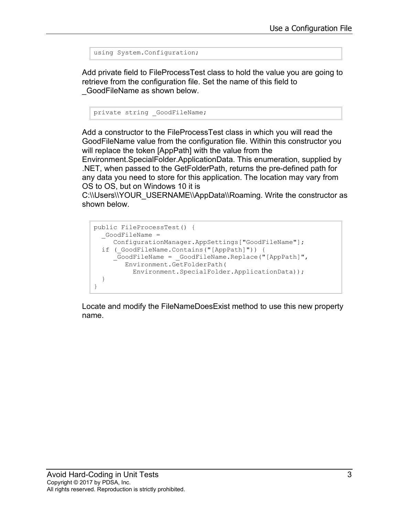```
using System.Configuration;
```
Add private field to FileProcessTest class to hold the value you are going to retrieve from the configuration file. Set the name of this field to \_GoodFileName as shown below.

private string GoodFileName;

Add a constructor to the FileProcessTest class in which you will read the GoodFileName value from the configuration file. Within this constructor you will replace the token [AppPath] with the value from the

Environment.SpecialFolder.ApplicationData. This enumeration, supplied by .NET, when passed to the GetFolderPath, returns the pre-defined path for any data you need to store for this application. The location may vary from OS to OS, but on Windows 10 it is

C:\\Users\\YOUR\_USERNAME\\AppData\\Roaming. Write the constructor as shown below.

```
public FileProcessTest() {
 GoodFileName =
     ConfigurationManager.AppSettings["GoodFileName"];
  if ( GoodFileName.Contains("[AppPath]")) {
      _GoodFileName = _GoodFileName.Replace("[AppPath]", 
         Environment.GetFolderPath(
           Environment.SpecialFolder.ApplicationData));
   }
}
```
Locate and modify the FileNameDoesExist method to use this new property name.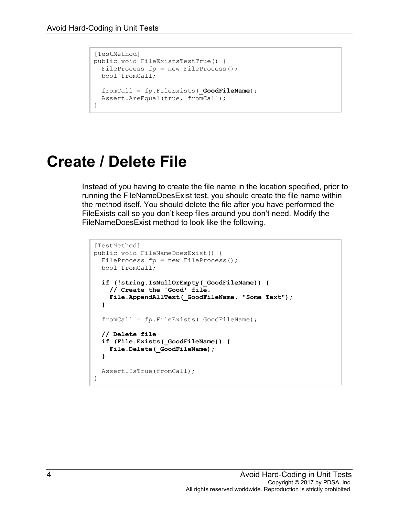```
[TestMethod]
public void FileExistsTestTrue() {
 FileProcess fp = new FileProcess();
  bool fromCall;
  fromCall = fp.FileExists(_GoodFileName);
 Assert.AreEqual(true, fromCall);
}
```
#### **Create / Delete File**

Instead of you having to create the file name in the location specified, prior to running the FileNameDoesExist test, you should create the file name within the method itself. You should delete the file after you have performed the FileExists call so you don't keep files around you don't need. Modify the FileNameDoesExist method to look like the following.

```
[TestMethod]
public void FileNameDoesExist() {
 FileProcess fp = new FileProcess();
  bool fromCall;
   if (!string.IsNullOrEmpty(_GoodFileName)) {
     // Create the 'Good' file.
     File.AppendAllText(_GoodFileName, "Some Text");
   }
   fromCall = fp.FileExists(_GoodFileName);
  // Delete file
   if (File.Exists(_GoodFileName)) {
    File.Delete(_GoodFileName);
   }
  Assert.IsTrue(fromCall);
}
```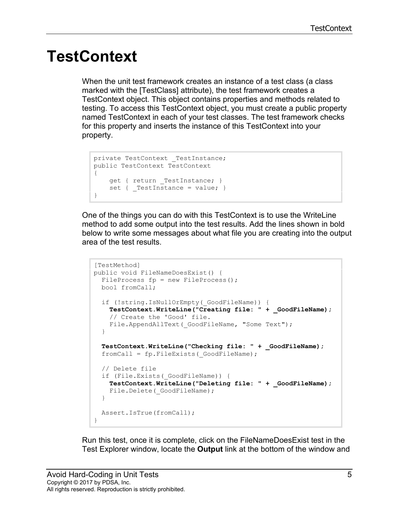#### **TestContext**

When the unit test framework creates an instance of a test class (a class marked with the [TestClass] attribute), the test framework creates a TestContext object. This object contains properties and methods related to testing. To access this TestContext object, you must create a public property named TestContext in each of your test classes. The test framework checks for this property and inserts the instance of this TestContext into your property.

```
private TestContext TestInstance;
public TestContext TestContext 
{ 
   qet { return TestInstance; }
   set { TestInstance = value; }
}
```
One of the things you can do with this TestContext is to use the WriteLine method to add some output into the test results. Add the lines shown in bold below to write some messages about what file you are creating into the output area of the test results.

```
[TestMethod]
public void FileNameDoesExist() {
 FileProcess fp = new FileProcess();
  bool fromCall;
 if (!string.IsNullOrEmpty( GoodFileName)) {
     TestContext.WriteLine("Creating file: " + _GoodFileName);
     // Create the 'Good' file.
    File.AppendAllText( GoodFileName, "Some Text");
   }
  TestContext.WriteLine("Checking file: " + _GoodFileName);
 fromCall = fp.FileExists( GoodFileName);
  // Delete file
  if (File.Exists(_GoodFileName)) {
    TestContext.WriteLine("Deleting file: " + _GoodFileName);
    File.Delete( GoodFileName);
   }
  Assert.IsTrue(fromCall);
}
```
Run this test, once it is complete, click on the FileNameDoesExist test in the Test Explorer window, locate the **Output** link at the bottom of the window and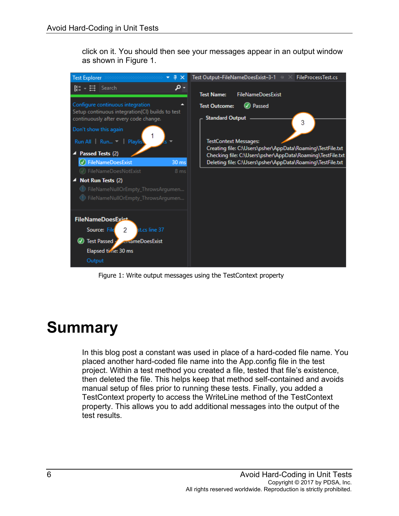click on it. You should then see your messages appear in an output window as shown in [Figure 1.](#page-5-0)



Figure 1: Write output messages using the TestContext property

## <span id="page-5-0"></span>**Summary**

In this blog post a constant was used in place of a hard-coded file name. You placed another hard-coded file name into the App.config file in the test project. Within a test method you created a file, tested that file's existence, then deleted the file. This helps keep that method self-contained and avoids manual setup of files prior to running these tests. Finally, you added a TestContext property to access the WriteLine method of the TestContext property. This allows you to add additional messages into the output of the test results.